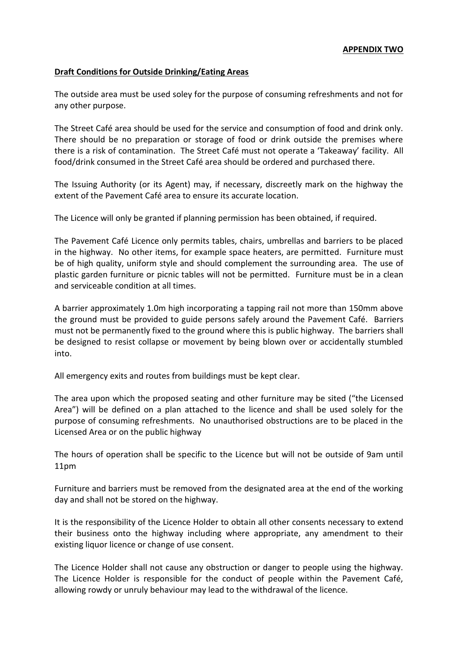## **Draft Conditions for Outside Drinking/Eating Areas**

The outside area must be used soley for the purpose of consuming refreshments and not for any other purpose.

The Street Café area should be used for the service and consumption of food and drink only. There should be no preparation or storage of food or drink outside the premises where there is a risk of contamination. The Street Café must not operate a 'Takeaway' facility. All food/drink consumed in the Street Café area should be ordered and purchased there.

The Issuing Authority (or its Agent) may, if necessary, discreetly mark on the highway the extent of the Pavement Café area to ensure its accurate location.

The Licence will only be granted if planning permission has been obtained, if required.

The Pavement Café Licence only permits tables, chairs, umbrellas and barriers to be placed in the highway. No other items, for example space heaters, are permitted. Furniture must be of high quality, uniform style and should complement the surrounding area. The use of plastic garden furniture or picnic tables will not be permitted. Furniture must be in a clean and serviceable condition at all times.

A barrier approximately 1.0m high incorporating a tapping rail not more than 150mm above the ground must be provided to guide persons safely around the Pavement Café. Barriers must not be permanently fixed to the ground where this is public highway. The barriers shall be designed to resist collapse or movement by being blown over or accidentally stumbled into.

All emergency exits and routes from buildings must be kept clear.

The area upon which the proposed seating and other furniture may be sited ("the Licensed Area") will be defined on a plan attached to the licence and shall be used solely for the purpose of consuming refreshments. No unauthorised obstructions are to be placed in the Licensed Area or on the public highway

The hours of operation shall be specific to the Licence but will not be outside of 9am until 11pm

Furniture and barriers must be removed from the designated area at the end of the working day and shall not be stored on the highway.

It is the responsibility of the Licence Holder to obtain all other consents necessary to extend their business onto the highway including where appropriate, any amendment to their existing liquor licence or change of use consent.

The Licence Holder shall not cause any obstruction or danger to people using the highway. The Licence Holder is responsible for the conduct of people within the Pavement Café, allowing rowdy or unruly behaviour may lead to the withdrawal of the licence.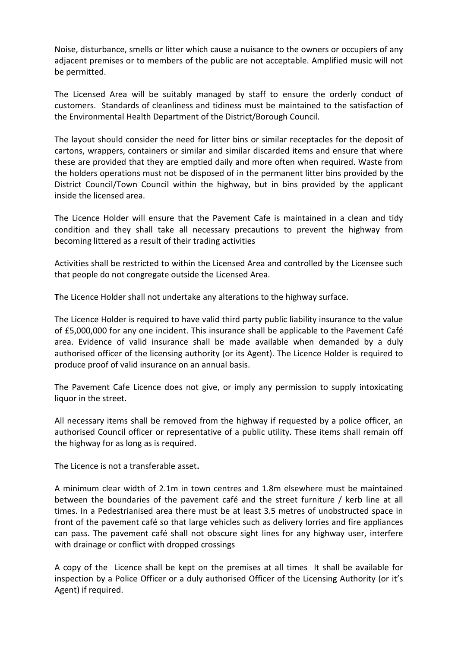Noise, disturbance, smells or litter which cause a nuisance to the owners or occupiers of any adjacent premises or to members of the public are not acceptable. Amplified music will not be permitted.

The Licensed Area will be suitably managed by staff to ensure the orderly conduct of customers. Standards of cleanliness and tidiness must be maintained to the satisfaction of the Environmental Health Department of the District/Borough Council.

The layout should consider the need for litter bins or similar receptacles for the deposit of cartons, wrappers, containers or similar and similar discarded items and ensure that where these are provided that they are emptied daily and more often when required. Waste from the holders operations must not be disposed of in the permanent litter bins provided by the District Council/Town Council within the highway, but in bins provided by the applicant inside the licensed area.

The Licence Holder will ensure that the Pavement Cafe is maintained in a clean and tidy condition and they shall take all necessary precautions to prevent the highway from becoming littered as a result of their trading activities

Activities shall be restricted to within the Licensed Area and controlled by the Licensee such that people do not congregate outside the Licensed Area.

**T**he Licence Holder shall not undertake any alterations to the highway surface.

The Licence Holder is required to have valid third party public liability insurance to the value of £5,000,000 for any one incident. This insurance shall be applicable to the Pavement Café area. Evidence of valid insurance shall be made available when demanded by a duly authorised officer of the licensing authority (or its Agent). The Licence Holder is required to produce proof of valid insurance on an annual basis.

The Pavement Cafe Licence does not give, or imply any permission to supply intoxicating liquor in the street.

All necessary items shall be removed from the highway if requested by a police officer, an authorised Council officer or representative of a public utility. These items shall remain off the highway for as long as is required.

The Licence is not a transferable asset**.** 

A minimum clear width of 2.1m in town centres and 1.8m elsewhere must be maintained between the boundaries of the pavement café and the street furniture / kerb line at all times. In a Pedestrianised area there must be at least 3.5 metres of unobstructed space in front of the pavement café so that large vehicles such as delivery lorries and fire appliances can pass. The pavement café shall not obscure sight lines for any highway user, interfere with drainage or conflict with dropped crossings

A copy of the Licence shall be kept on the premises at all times It shall be available for inspection by a Police Officer or a duly authorised Officer of the Licensing Authority (or it's Agent) if required.